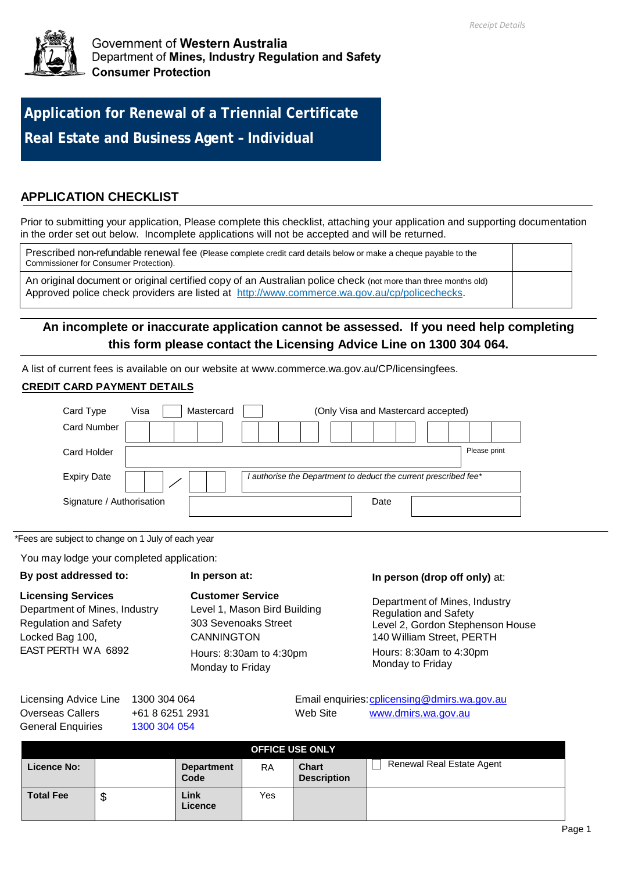

**Application for Renewal of a Triennial Certificate Real Estate and Business Agent – Individual**

# **APPLICATION CHECKLIST**

Prior to submitting your application, Please complete this checklist, attaching your application and supporting documentation in the order set out below. Incomplete applications will not be accepted and will be returned.

Prescribed non-refundable renewal fee (Please complete credit card details below or make a cheque payable to the Commissioner for Consumer Protection).

An original document or original certified copy of an Australian police check (not more than three months old) Approved police check providers are listed at [http://www.commerce.wa.gov.au/cp/policechecks.](http://www.commerce.wa.gov.au/cp/policechecks)

# **An incomplete or inaccurate application cannot be assessed. If you need help completing this form please contact the Licensing Advice Line on 1300 304 064.**

A list of current fees is available on our website at www.commerce.wa.gov.au/CP/licensingfees.

# **CREDIT CARD PAYMENT DETAILS**

| Card Type                 | Visa | Mastercard |  |                                                                | (Only Visa and Mastercard accepted) |  |              |  |
|---------------------------|------|------------|--|----------------------------------------------------------------|-------------------------------------|--|--------------|--|
| <b>Card Number</b>        |      |            |  |                                                                |                                     |  |              |  |
| Card Holder               |      |            |  |                                                                |                                     |  | Please print |  |
| <b>Expiry Date</b>        |      |            |  | authorise the Department to deduct the current prescribed fee* |                                     |  |              |  |
| Signature / Authorisation |      |            |  |                                                                | Date                                |  |              |  |

\*Fees are subject to change on 1 July of each year

You may lodge your completed application:

## **By post addressed to:**

# **Customer Service**

**In person at:**

**Licensing Services** Department of Mines, Industry Regulation and Safety Locked Bag 100, EAST PERTH WA 6892

Level 1, Mason Bird Building 303 Sevenoaks Street **CANNINGTON** Hours: 8:30am to 4:30pm Monday to Friday

#### **In person (drop off only)** at:

Department of Mines, Industry Regulation and Safety Level 2, Gordon Stephenson House 140 William Street, PERTH

Hours: 8:30am to 4:30pm Monday to Friday

| Licensing Advice Line 1300 304 064 |                 |          | Email enquiries: cplicensing@dmirs.wa.gov.au |
|------------------------------------|-----------------|----------|----------------------------------------------|
| Overseas Callers                   | +61 8 6251 2931 | Web Site | www.dmirs.wa.gov.au                          |
| General Enguiries                  | 1300 304 054    |          |                                              |

| <b>OFFICE USE ONLY</b> |        |                           |           |                                    |                                  |  |
|------------------------|--------|---------------------------|-----------|------------------------------------|----------------------------------|--|
| Licence No:            |        | <b>Department</b><br>Code | <b>RA</b> | <b>Chart</b><br><b>Description</b> | <b>Renewal Real Estate Agent</b> |  |
| <b>Total Fee</b>       | Φ<br>Φ | Link<br>Licence           | Yes       |                                    |                                  |  |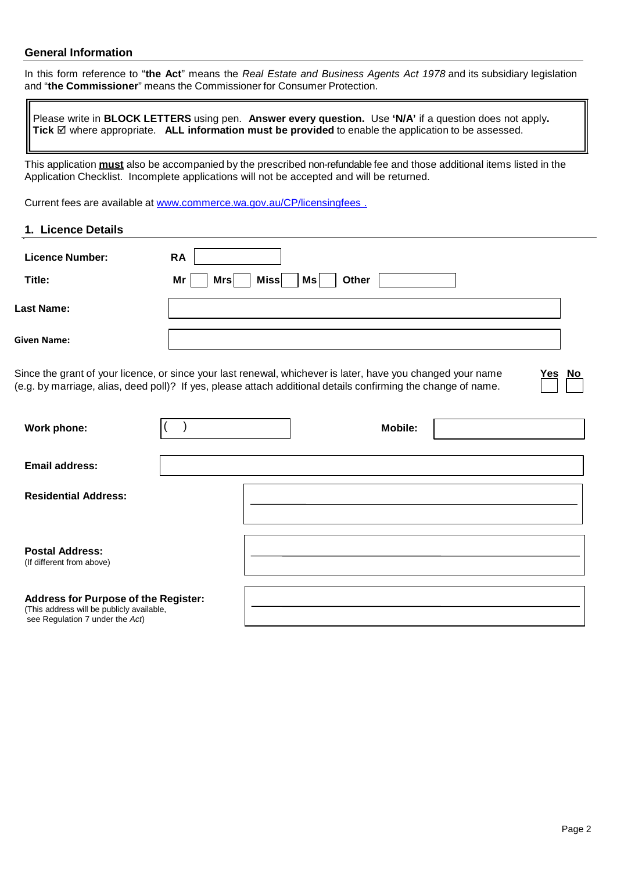## **General Information**

In this form reference to "**the Act**" means the *Real Estate and Business Agents Act 1978* and its subsidiary legislation and "**the Commissioner**" means the Commissioner for Consumer Protection.

Please write in **BLOCK LETTERS** using pen. **Answer every question.** Use **'N/A'** if a question does not apply**. Tick** where appropriate. **ALL information must be provided** to enable the application to be assessed.

This application **must** also be accompanied by the prescribed non-refundable fee and those additional items listed in the Application Checklist. Incomplete applications will not be accepted and will be returned.

Current fees are available at [www.commerce.wa.gov.au/CP/licensingfees .](http://www.commerce.wa.gov.au/CP/licensingfees%20.)

**1. Licence Details**

| <b>Licence Number:</b> | <b>RA</b>                               |
|------------------------|-----------------------------------------|
| Title:                 | Ms<br><b>Miss</b><br>Mrs<br>Other<br>Mr |
| <b>Last Name:</b>      |                                         |
| Given Name:            |                                         |

Since the grant of your licence, or since your last renewal, whichever is later, have you changed your name **Yes No** (e.g. by marriage, alias, deed poll)? If yes, please attach additional details confirming the change of name.

| Work phone:                                                                                                          | <b>Mobile:</b> |  |
|----------------------------------------------------------------------------------------------------------------------|----------------|--|
| <b>Email address:</b>                                                                                                |                |  |
| <b>Residential Address:</b>                                                                                          |                |  |
| <b>Postal Address:</b><br>(If different from above)                                                                  |                |  |
| Address for Purpose of the Register:<br>(This address will be publicly available,<br>see Regulation 7 under the Act) |                |  |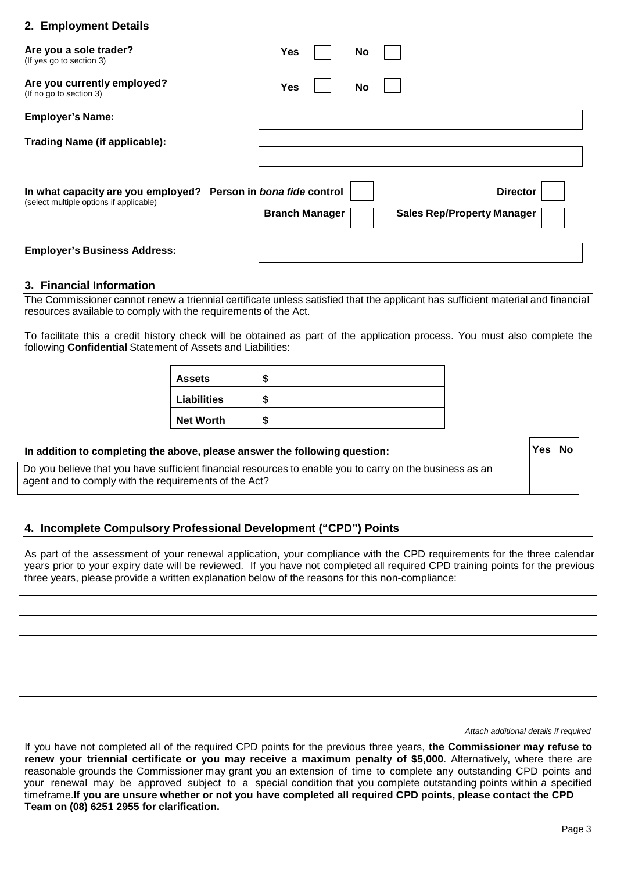# **2. Employment Details**

| Are you a sole trader?<br>(If yes go to section 3)                                                        | <b>Yes</b>            | No |                                                      |
|-----------------------------------------------------------------------------------------------------------|-----------------------|----|------------------------------------------------------|
| Are you currently employed?<br>(If no go to section 3)                                                    | <b>Yes</b>            | No |                                                      |
| <b>Employer's Name:</b>                                                                                   |                       |    |                                                      |
| <b>Trading Name (if applicable):</b>                                                                      |                       |    |                                                      |
| In what capacity are you employed? Person in bona fide control<br>(select multiple options if applicable) | <b>Branch Manager</b> |    | <b>Director</b><br><b>Sales Rep/Property Manager</b> |
| <b>Employer's Business Address:</b>                                                                       |                       |    |                                                      |

#### **3. Financial Information**

The Commissioner cannot renew a triennial certificate unless satisfied that the applicant has sufficient material and financial resources available to comply with the requirements of the Act.

To facilitate this a credit history check will be obtained as part of the application process. You must also complete the following **Confidential** Statement of Assets and Liabilities:

| <b>Assets</b>    | æ |
|------------------|---|
| Liabilities      | S |
| <b>Net Worth</b> | S |

# **In addition to completing the above, please answer the following question:**

Do you believe that you have sufficient financial resources to enable you to carry on the business as an agent and to comply with the requirements of the Act?

## **4. Incomplete Compulsory Professional Development ("CPD") Points**

As part of the assessment of your renewal application, your compliance with the CPD requirements for the three calendar years prior to your expiry date will be reviewed. If you have not completed all required CPD training points for the previous three years, please provide a written explanation below of the reasons for this non-compliance:

| Attach additional details if required |
|---------------------------------------|

*Attach additional details if required*

**Yes No**

If you have not completed all of the required CPD points for the previous three years, **the Commissioner may refuse to renew your triennial certificate or you may receive a maximum penalty of \$5,000**. Alternatively, where there are reasonable grounds the Commissioner may grant you an extension of time to complete any outstanding CPD points and your renewal may be approved subject to a special condition that you complete outstanding points within a specified timeframe.If you are unsure whether or not you have completed all required CPD points, please contact the CPD **Team on (08) 6251 2955 for clarification.**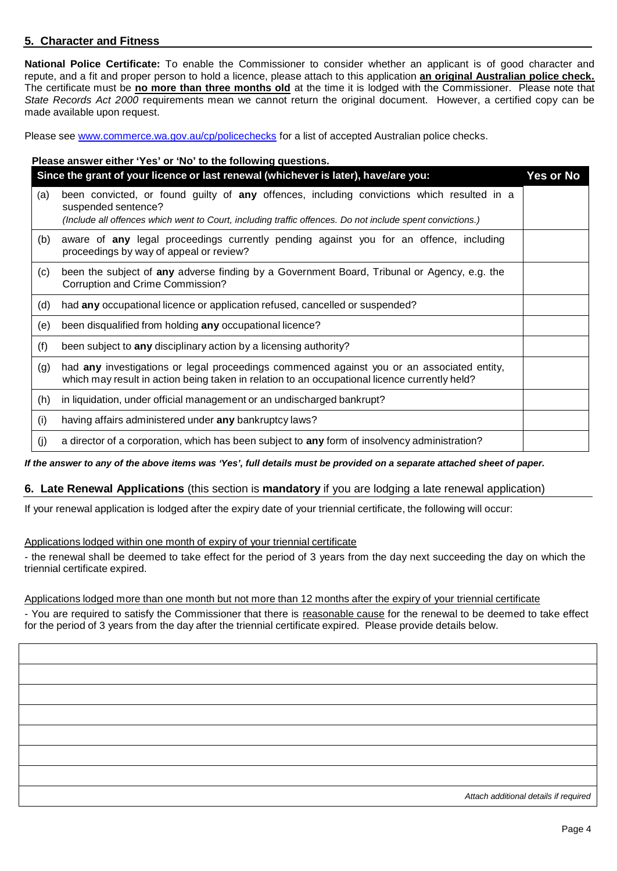# **5. Character and Fitness**

**National Police Certificate:** To enable the Commissioner to consider whether an applicant is of good character and repute, and a fit and proper person to hold a licence, please attach to this application **an original Australian police check.** The certificate must be **no more than three months old** at the time it is lodged with the Commissioner. Please note that *State Records Act 2000* requirements mean we cannot return the original document. However, a certified copy can be made available upon request.

Please see [www.commerce.wa.gov.au/cp/policechecks](http://www.commerce.wa.gov.au/cp/policechecks) for a list of accepted Australian police checks.

|     | Please answer either 'Yes' or 'No' to the following questions.                                                                                                                                                                 |                  |
|-----|--------------------------------------------------------------------------------------------------------------------------------------------------------------------------------------------------------------------------------|------------------|
|     | Since the grant of your licence or last renewal (whichever is later), have/are you:                                                                                                                                            | <b>Yes or No</b> |
| (a) | been convicted, or found guilty of any offences, including convictions which resulted in a<br>suspended sentence?<br>(Include all offences which went to Court, including traffic offences. Do not include spent convictions.) |                  |
| (b) | aware of any legal proceedings currently pending against you for an offence, including<br>proceedings by way of appeal or review?                                                                                              |                  |
| (c) | been the subject of any adverse finding by a Government Board, Tribunal or Agency, e.g. the<br>Corruption and Crime Commission?                                                                                                |                  |
| (d) | had any occupational licence or application refused, cancelled or suspended?                                                                                                                                                   |                  |
| (e) | been disqualified from holding any occupational licence?                                                                                                                                                                       |                  |
| (f) | been subject to any disciplinary action by a licensing authority?                                                                                                                                                              |                  |
| (g) | had any investigations or legal proceedings commenced against you or an associated entity,<br>which may result in action being taken in relation to an occupational licence currently held?                                    |                  |
| (h) | in liquidation, under official management or an undischarged bankrupt?                                                                                                                                                         |                  |
| (i) | having affairs administered under any bankruptcy laws?                                                                                                                                                                         |                  |
| (i) | a director of a corporation, which has been subject to any form of insolvency administration?                                                                                                                                  |                  |

If the answer to any of the above items was 'Yes', full details must be provided on a separate attached sheet of paper.

## **6. Late Renewal Applications** (this section is **mandatory** if you are lodging a late renewal application)

If your renewal application is lodged after the expiry date of your triennial certificate, the following will occur:

Applications lodged within one month of expiry of your triennial certificate

- the renewal shall be deemed to take effect for the period of 3 years from the day next succeeding the day on which the triennial certificate expired.

#### Applications lodged more than one month but not more than 12 months after the expiry of your triennial certificate

- You are required to satisfy the Commissioner that there is reasonable cause for the renewal to be deemed to take effect for the period of 3 years from the day after the triennial certificate expired. Please provide details below.

*Attach additional details if required*